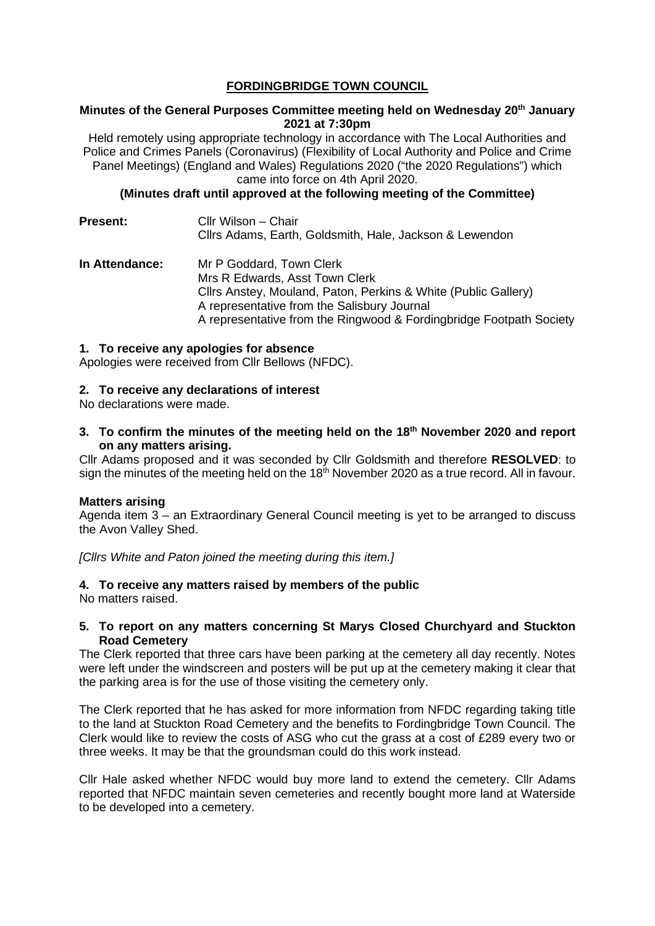# **FORDINGBRIDGE TOWN COUNCIL**

## **Minutes of the General Purposes Committee meeting held on Wednesday 20th January 2021 at 7:30pm**

Held remotely using appropriate technology in accordance with The Local Authorities and Police and Crimes Panels (Coronavirus) (Flexibility of Local Authority and Police and Crime Panel Meetings) (England and Wales) Regulations 2020 ("the 2020 Regulations") which came into force on 4th April 2020.

**(Minutes draft until approved at the following meeting of the Committee)**

| <b>Present:</b> | Cllr Wilson - Chair<br>Cllrs Adams, Earth, Goldsmith, Hale, Jackson & Lewendon                                               |
|-----------------|------------------------------------------------------------------------------------------------------------------------------|
| In Attendance:  | Mr P Goddard, Town Clerk<br>Mrs R Edwards, Asst Town Clerk<br>Cllrs Anstey, Mouland, Paton, Perkins & White (Public Gallery) |
|                 | A representative from the Salisbury Journal<br>A representative from the Ringwood & Fordingbridge Footpath Society           |

#### **1. To receive any apologies for absence**

Apologies were received from Cllr Bellows (NFDC).

### **2. To receive any declarations of interest**

No declarations were made.

**3. To confirm the minutes of the meeting held on the 18th November 2020 and report on any matters arising.**

Cllr Adams proposed and it was seconded by Cllr Goldsmith and therefore **RESOLVED**: to sign the minutes of the meeting held on the  $18<sup>th</sup>$  November 2020 as a true record. All in favour.

#### **Matters arising**

Agenda item 3 – an Extraordinary General Council meeting is yet to be arranged to discuss the Avon Valley Shed.

*[Cllrs White and Paton joined the meeting during this item.]*

# **4. To receive any matters raised by members of the public**

No matters raised.

### **5. To report on any matters concerning St Marys Closed Churchyard and Stuckton Road Cemetery**

The Clerk reported that three cars have been parking at the cemetery all day recently. Notes were left under the windscreen and posters will be put up at the cemetery making it clear that the parking area is for the use of those visiting the cemetery only.

The Clerk reported that he has asked for more information from NFDC regarding taking title to the land at Stuckton Road Cemetery and the benefits to Fordingbridge Town Council. The Clerk would like to review the costs of ASG who cut the grass at a cost of £289 every two or three weeks. It may be that the groundsman could do this work instead.

Cllr Hale asked whether NFDC would buy more land to extend the cemetery. Cllr Adams reported that NFDC maintain seven cemeteries and recently bought more land at Waterside to be developed into a cemetery.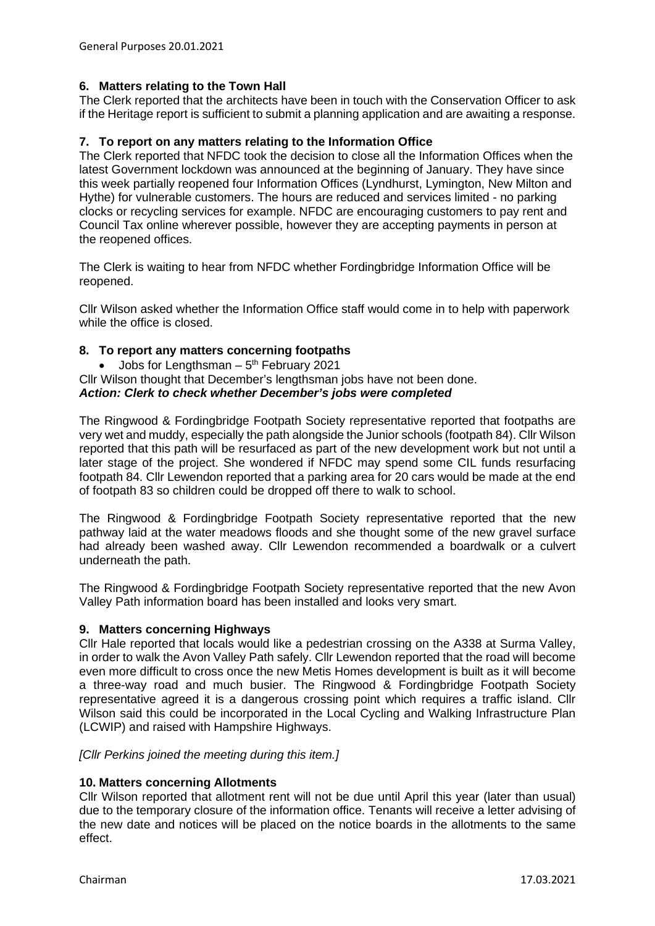# **6. Matters relating to the Town Hall**

The Clerk reported that the architects have been in touch with the Conservation Officer to ask if the Heritage report is sufficient to submit a planning application and are awaiting a response.

### **7. To report on any matters relating to the Information Office**

The Clerk reported that NFDC took the decision to close all the Information Offices when the latest Government lockdown was announced at the beginning of January. They have since this week partially reopened four Information Offices (Lyndhurst, Lymington, New Milton and Hythe) for vulnerable customers. The hours are reduced and services limited - no parking clocks or recycling services for example. NFDC are encouraging customers to pay rent and Council Tax online wherever possible, however they are accepting payments in person at the reopened offices.

The Clerk is waiting to hear from NFDC whether Fordingbridge Information Office will be reopened.

Cllr Wilson asked whether the Information Office staff would come in to help with paperwork while the office is closed.

### **8. To report any matters concerning footpaths**

• Jobs for Lengthsman  $-5<sup>th</sup>$  February 2021 Cllr Wilson thought that December's lengthsman jobs have not been done.

## *Action: Clerk to check whether December's jobs were completed*

The Ringwood & Fordingbridge Footpath Society representative reported that footpaths are very wet and muddy, especially the path alongside the Junior schools (footpath 84). Cllr Wilson reported that this path will be resurfaced as part of the new development work but not until a later stage of the project. She wondered if NFDC may spend some CIL funds resurfacing footpath 84. Cllr Lewendon reported that a parking area for 20 cars would be made at the end of footpath 83 so children could be dropped off there to walk to school.

The Ringwood & Fordingbridge Footpath Society representative reported that the new pathway laid at the water meadows floods and she thought some of the new gravel surface had already been washed away. Cllr Lewendon recommended a boardwalk or a culvert underneath the path.

The Ringwood & Fordingbridge Footpath Society representative reported that the new Avon Valley Path information board has been installed and looks very smart.

#### **9. Matters concerning Highways**

Cllr Hale reported that locals would like a pedestrian crossing on the A338 at Surma Valley, in order to walk the Avon Valley Path safely. Cllr Lewendon reported that the road will become even more difficult to cross once the new Metis Homes development is built as it will become a three-way road and much busier. The Ringwood & Fordingbridge Footpath Society representative agreed it is a dangerous crossing point which requires a traffic island. Cllr Wilson said this could be incorporated in the Local Cycling and Walking Infrastructure Plan (LCWIP) and raised with Hampshire Highways.

# *[Cllr Perkins joined the meeting during this item.]*

#### **10. Matters concerning Allotments**

Cllr Wilson reported that allotment rent will not be due until April this year (later than usual) due to the temporary closure of the information office. Tenants will receive a letter advising of the new date and notices will be placed on the notice boards in the allotments to the same effect.